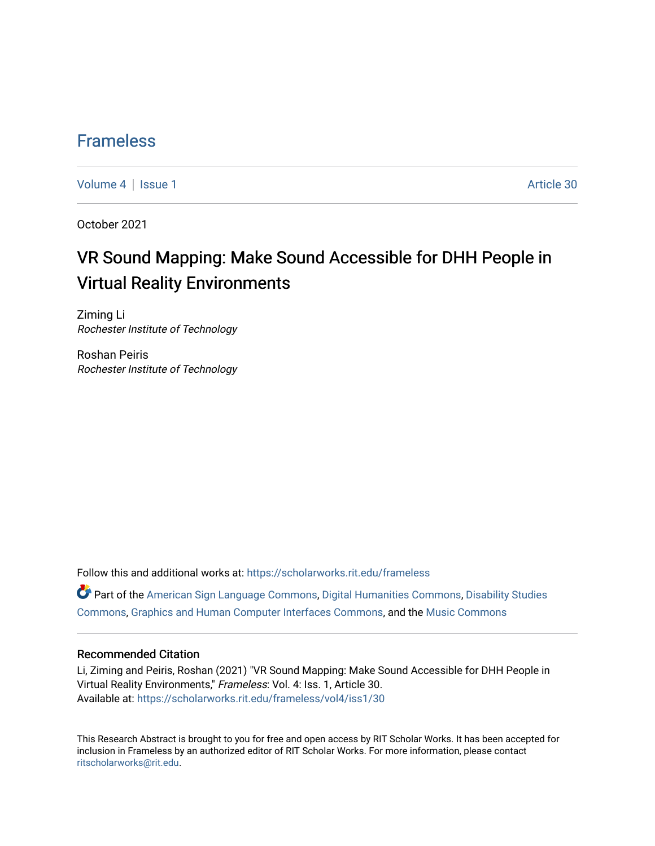### [Frameless](https://scholarworks.rit.edu/frameless)

[Volume 4](https://scholarworks.rit.edu/frameless/vol4) | [Issue 1](https://scholarworks.rit.edu/frameless/vol4/iss1) Article 30

October 2021

## VR Sound Mapping: Make Sound Accessible for DHH People in Virtual Reality Environments

Ziming Li Rochester Institute of Technology

Roshan Peiris Rochester Institute of Technology

Follow this and additional works at: [https://scholarworks.rit.edu/frameless](https://scholarworks.rit.edu/frameless?utm_source=scholarworks.rit.edu%2Fframeless%2Fvol4%2Fiss1%2F30&utm_medium=PDF&utm_campaign=PDFCoverPages)

Part of the [American Sign Language Commons,](https://network.bepress.com/hgg/discipline/1402?utm_source=scholarworks.rit.edu%2Fframeless%2Fvol4%2Fiss1%2F30&utm_medium=PDF&utm_campaign=PDFCoverPages) [Digital Humanities Commons](https://network.bepress.com/hgg/discipline/1286?utm_source=scholarworks.rit.edu%2Fframeless%2Fvol4%2Fiss1%2F30&utm_medium=PDF&utm_campaign=PDFCoverPages), [Disability Studies](https://network.bepress.com/hgg/discipline/1417?utm_source=scholarworks.rit.edu%2Fframeless%2Fvol4%2Fiss1%2F30&utm_medium=PDF&utm_campaign=PDFCoverPages)  [Commons](https://network.bepress.com/hgg/discipline/1417?utm_source=scholarworks.rit.edu%2Fframeless%2Fvol4%2Fiss1%2F30&utm_medium=PDF&utm_campaign=PDFCoverPages), [Graphics and Human Computer Interfaces Commons](https://network.bepress.com/hgg/discipline/146?utm_source=scholarworks.rit.edu%2Fframeless%2Fvol4%2Fiss1%2F30&utm_medium=PDF&utm_campaign=PDFCoverPages), and the [Music Commons](https://network.bepress.com/hgg/discipline/518?utm_source=scholarworks.rit.edu%2Fframeless%2Fvol4%2Fiss1%2F30&utm_medium=PDF&utm_campaign=PDFCoverPages) 

#### Recommended Citation

Li, Ziming and Peiris, Roshan (2021) "VR Sound Mapping: Make Sound Accessible for DHH People in Virtual Reality Environments," Frameless: Vol. 4: Iss. 1, Article 30. Available at: [https://scholarworks.rit.edu/frameless/vol4/iss1/30](https://scholarworks.rit.edu/frameless/vol4/iss1/30?utm_source=scholarworks.rit.edu%2Fframeless%2Fvol4%2Fiss1%2F30&utm_medium=PDF&utm_campaign=PDFCoverPages) 

This Research Abstract is brought to you for free and open access by RIT Scholar Works. It has been accepted for inclusion in Frameless by an authorized editor of RIT Scholar Works. For more information, please contact [ritscholarworks@rit.edu](mailto:ritscholarworks@rit.edu).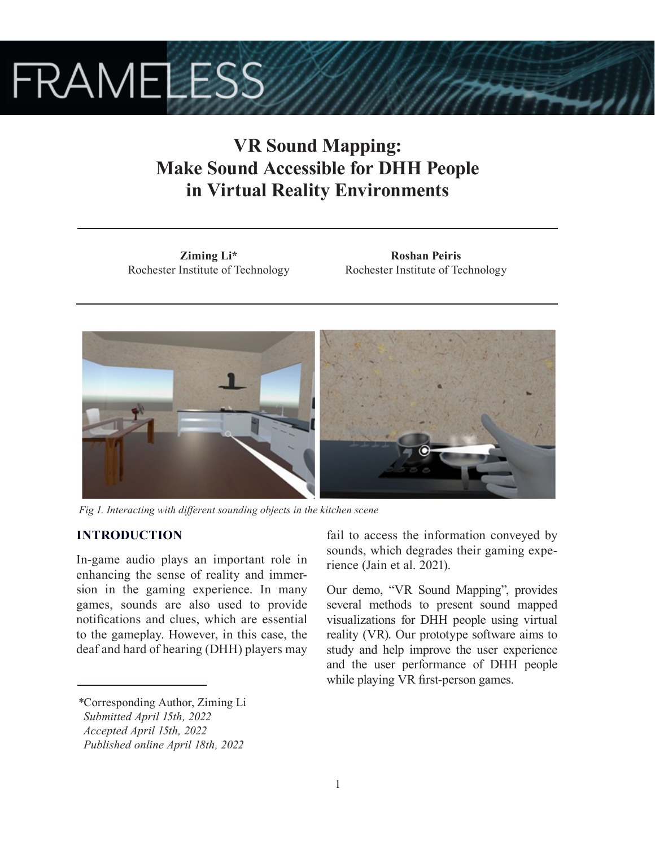# **FRAMELESS**

## **VR Sound Mapping: Make Sound Accessible for DHH People in Virtual Reality Environments**

**Ziming Li\*** Rochester Institute of Technology

**Roshan Peiris** Rochester Institute of Technology



*Fig 1. Interacting with different sounding objects in the kitchen scene*

### **INTRODUCTION**

In-game audio plays an important role in enhancing the sense of reality and immersion in the gaming experience. In many games, sounds are also used to provide notifications and clues, which are essential to the gameplay. However, in this case, the deaf and hard of hearing (DHH) players may

*\**Corresponding Author, Ziming Li

fail to access the information conveyed by sounds, which degrades their gaming experience (Jain et al. 2021).

Our demo, "VR Sound Mapping", provides several methods to present sound mapped visualizations for DHH people using virtual reality (VR). Our prototype software aims to study and help improve the user experience and the user performance of DHH people while playing VR first-person games.

*Submitted April 15th, 2022*

*Accepted April 15th, 2022*

*Published online April 18th, 2022*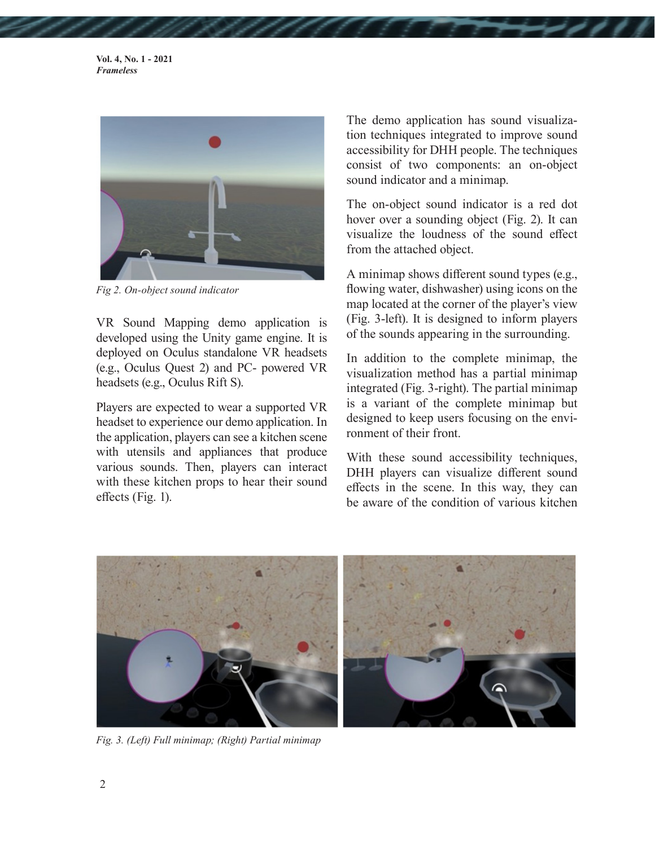**Vol. 4, No. 1 - 2021** *Frameless*



*Fig 2. On-object sound indicator*

VR Sound Mapping demo application is developed using the Unity game engine. It is deployed on Oculus standalone VR headsets (e.g., Oculus Quest 2) and PC- powered VR headsets (e.g., Oculus Rift S).

Players are expected to wear a supported VR headset to experience our demo application. In the application, players can see a kitchen scene with utensils and appliances that produce various sounds. Then, players can interact with these kitchen props to hear their sound effects (Fig. 1).

The demo application has sound visualization techniques integrated to improve sound accessibility for DHH people. The techniques consist of two components: an on-object sound indicator and a minimap.

The on-object sound indicator is a red dot hover over a sounding object (Fig. 2). It can visualize the loudness of the sound effect from the attached object.

A minimap shows different sound types (e.g., flowing water, dishwasher) using icons on the map located at the corner of the player's view (Fig. 3-left). It is designed to inform players of the sounds appearing in the surrounding.

In addition to the complete minimap, the visualization method has a partial minimap integrated (Fig. 3-right). The partial minimap is a variant of the complete minimap but designed to keep users focusing on the environment of their front.

With these sound accessibility techniques, DHH players can visualize different sound effects in the scene. In this way, they can be aware of the condition of various kitchen



*Fig. 3. (Left) Full minimap; (Right) Partial minimap*